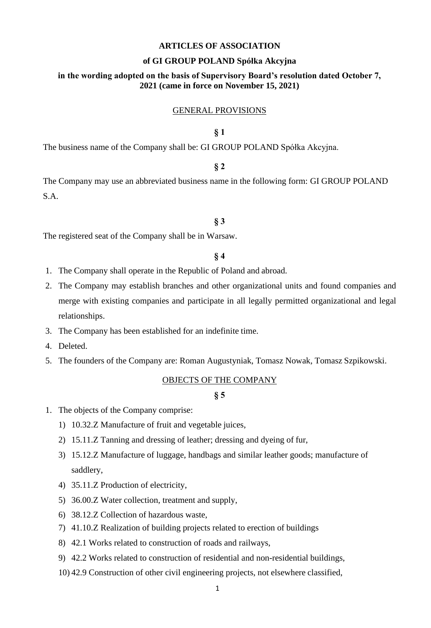### **ARTICLES OF ASSOCIATION**

### **of GI GROUP POLAND Spółka Akcyjna**

# **in the wording adopted on the basis of Supervisory Board's resolution dated October 7, 2021 (came in force on November 15, 2021)**

### GENERAL PROVISIONS

# **§ 1**

The business name of the Company shall be: GI GROUP POLAND Spółka Akcyjna.

# **§ 2**

The Company may use an abbreviated business name in the following form: GI GROUP POLAND S.A.

#### **§ 3**

The registered seat of the Company shall be in Warsaw.

# **§ 4**

- 1. The Company shall operate in the Republic of Poland and abroad.
- 2. The Company may establish branches and other organizational units and found companies and merge with existing companies and participate in all legally permitted organizational and legal relationships.
- 3. The Company has been established for an indefinite time.
- 4. Deleted.
- 5. The founders of the Company are: Roman Augustyniak, Tomasz Nowak, Tomasz Szpikowski.

### OBJECTS OF THE COMPANY

- 1. The objects of the Company comprise:
	- 1) 10.32.Z Manufacture of fruit and vegetable juices,
	- 2) 15.11.Z Tanning and dressing of leather; dressing and dyeing of fur,
	- 3) 15.12.Z Manufacture of luggage, handbags and similar leather goods; manufacture of saddlery,
	- 4) 35.11.Z Production of electricity,
	- 5) 36.00.Z Water collection, treatment and supply,
	- 6) 38.12.Z Collection of hazardous waste,
	- 7) 41.10.Z Realization of building projects related to erection of buildings
	- 8) 42.1 Works related to construction of roads and railways,
	- 9) 42.2 Works related to construction of residential and non-residential buildings,
	- 10) 42.9 Construction of other civil engineering projects, not elsewhere classified,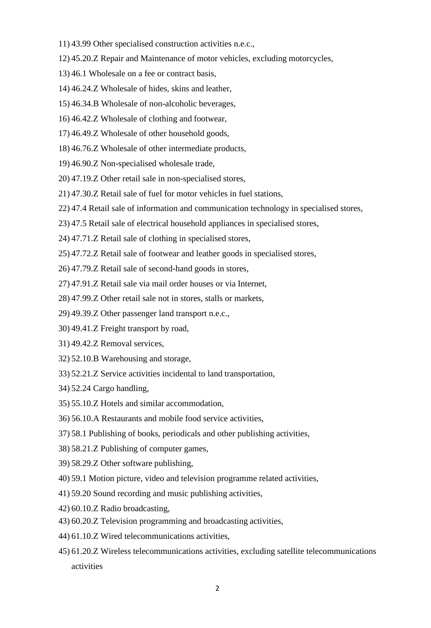- 11) 43.99 Other specialised construction activities n.e.c.,
- 12) 45.20.Z Repair and Maintenance of motor vehicles, excluding motorcycles,
- 13) 46.1 Wholesale on a fee or contract basis,
- 14) 46.24.Z Wholesale of hides, skins and leather,
- 15) 46.34.B Wholesale of non-alcoholic beverages,
- 16) 46.42.Z Wholesale of clothing and footwear,
- 17) 46.49.Z Wholesale of other household goods,
- 18) 46.76.Z Wholesale of other intermediate products,
- 19) 46.90.Z Non-specialised wholesale trade,
- 20) 47.19.Z Other retail sale in non-specialised stores,
- 21) 47.30.Z Retail sale of fuel for motor vehicles in fuel stations,
- 22) 47.4 Retail sale of information and communication technology in specialised stores,
- 23) 47.5 Retail sale of electrical household appliances in specialised stores,
- 24) 47.71.Z Retail sale of clothing in specialised stores,
- 25) 47.72.Z Retail sale of footwear and leather goods in specialised stores,
- 26) 47.79.Z Retail sale of second-hand goods in stores,
- 27) 47.91.Z Retail sale via mail order houses or via Internet,
- 28) 47.99.Z Other retail sale not in stores, stalls or markets,
- 29) 49.39.Z Other passenger land transport n.e.c.,
- 30) 49.41.Z Freight transport by road,
- 31) 49.42.Z Removal services,
- 32) 52.10.B Warehousing and storage,
- 33) 52.21.Z Service activities incidental to land transportation,
- 34) 52.24 Cargo handling,
- 35) 55.10.Z Hotels and similar accommodation,
- 36) 56.10.A Restaurants and mobile food service activities,
- 37) 58.1 Publishing of books, periodicals and other publishing activities,
- 38) 58.21.Z Publishing of computer games,
- 39) 58.29.Z Other software publishing,
- 40) 59.1 Motion picture, video and television programme related activities,
- 41) 59.20 Sound recording and music publishing activities,
- 42) 60.10.Z Radio broadcasting,
- 43) 60.20.Z Television programming and broadcasting activities,
- 44) 61.10.Z Wired telecommunications activities,
- 45) 61.20.Z Wireless telecommunications activities, excluding satellite telecommunications activities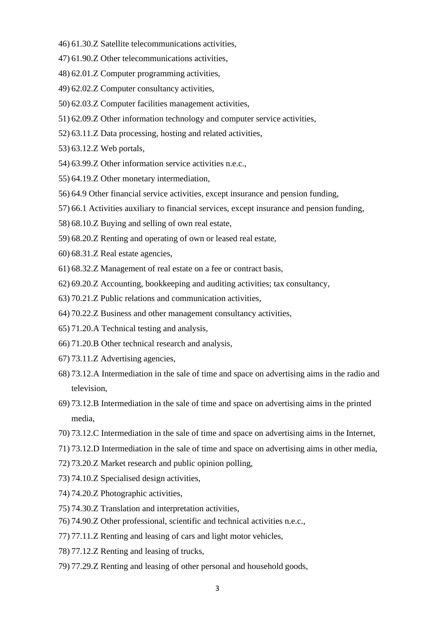- 46) 61.30.Z Satellite telecommunications activities,
- 47) 61.90.Z Other telecommunications activities,
- 48) 62.01.Z Computer programming activities,
- 49) 62.02.Z Computer consultancy activities,
- 50) 62.03.Z Computer facilities management activities,
- 51) 62.09.Z Other information technology and computer service activities,
- 52) 63.11.Z Data processing, hosting and related activities,
- 53) 63.12.Z Web portals,
- 54) 63.99.Z Other information service activities n.e.c.,
- 55) 64.19.Z Other monetary intermediation,
- 56) 64.9 Other financial service activities, except insurance and pension funding,
- 57) 66.1 Activities auxiliary to financial services, except insurance and pension funding,
- 58) 68.10.Z Buying and selling of own real estate,
- 59) 68.20.Z Renting and operating of own or leased real estate,
- 60) 68.31.Z Real estate agencies,
- 61) 68.32.Z Management of real estate on a fee or contract basis,
- 62) 69.20.Z Accounting, bookkeeping and auditing activities; tax consultancy,
- 63) 70.21.Z Public relations and communication activities,
- 64) 70.22.Z Business and other management consultancy activities,
- 65) 71.20.A Technical testing and analysis,
- 66) 71.20.B Other technical research and analysis,
- 67) 73.11.Z Advertising agencies,
- 68) 73.12.A Intermediation in the sale of time and space on advertising aims in the radio and television,
- 69) 73.12.B Intermediation in the sale of time and space on advertising aims in the printed media,
- 70) 73.12.C Intermediation in the sale of time and space on advertising aims in the Internet,
- 71) 73.12.D Intermediation in the sale of time and space on advertising aims in other media,
- 72) 73.20.Z Market research and public opinion polling,
- 73) 74.10.Z Specialised design activities,
- 74) 74.20.Z Photographic activities,
- 75) 74.30.Z Translation and interpretation activities,
- 76) 74.90.Z Other professional, scientific and technical activities n.e.c.,
- 77) 77.11.Z Renting and leasing of cars and light motor vehicles,
- 78) 77.12.Z Renting and leasing of trucks,
- 79) 77.29.Z Renting and leasing of other personal and household goods,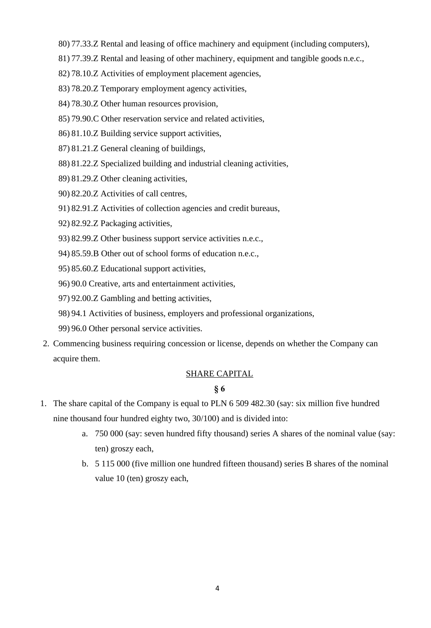- 80) 77.33.Z Rental and leasing of office machinery and equipment (including computers),
- 81) 77.39.Z Rental and leasing of other machinery, equipment and tangible goods n.e.c.,
- 82) 78.10.Z Activities of employment placement agencies,
- 83) 78.20.Z Temporary employment agency activities,
- 84) 78.30.Z Other human resources provision,
- 85) 79.90.C Other reservation service and related activities,
- 86) 81.10.Z Building service support activities,
- 87) 81.21.Z General cleaning of buildings,
- 88) 81.22.Z Specialized building and industrial cleaning activities,
- 89) 81.29.Z Other cleaning activities,
- 90) 82.20.Z Activities of call centres,
- 91) 82.91.Z Activities of collection agencies and credit bureaus,
- 92) 82.92.Z Packaging activities,
- 93) 82.99.Z Other business support service activities n.e.c.,
- 94) 85.59.B Other out of school forms of education n.e.c.,
- 95) 85.60.Z Educational support activities,
- 96) 90.0 Creative, arts and entertainment activities,
- 97) 92.00.Z Gambling and betting activities,
- 98) 94.1 Activities of business, employers and professional organizations,
- 99) 96.0 Other personal service activities.
- 2. Commencing business requiring concession or license, depends on whether the Company can acquire them.

# SHARE CAPITAL

- 1. The share capital of the Company is equal to PLN 6 509 482.30 (say: six million five hundred nine thousand four hundred eighty two, 30/100) and is divided into:
	- a. 750 000 (say: seven hundred fifty thousand) series A shares of the nominal value (say: ten) groszy each,
	- b. 5 115 000 (five million one hundred fifteen thousand) series B shares of the nominal value 10 (ten) groszy each,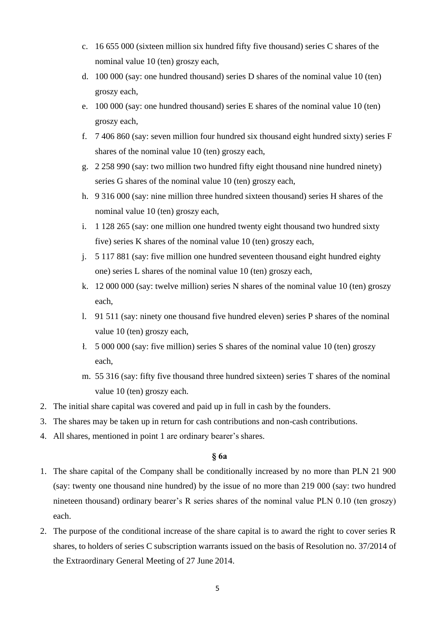- c. 16 655 000 (sixteen million six hundred fifty five thousand) series C shares of the nominal value 10 (ten) groszy each,
- d. 100 000 (say: one hundred thousand) series D shares of the nominal value 10 (ten) groszy each,
- e. 100 000 (say: one hundred thousand) series E shares of the nominal value 10 (ten) groszy each,
- f. 7 406 860 (say: seven million four hundred six thousand eight hundred sixty) series F shares of the nominal value 10 (ten) groszy each,
- g. 2 258 990 (say: two million two hundred fifty eight thousand nine hundred ninety) series G shares of the nominal value 10 (ten) groszy each,
- h. 9 316 000 (say: nine million three hundred sixteen thousand) series H shares of the nominal value 10 (ten) groszy each,
- i. 1 128 265 (say: one million one hundred twenty eight thousand two hundred sixty five) series K shares of the nominal value 10 (ten) groszy each,
- j. 5 117 881 (say: five million one hundred seventeen thousand eight hundred eighty one) series L shares of the nominal value 10 (ten) groszy each,
- k. 12 000 000 (say: twelve million) series N shares of the nominal value 10 (ten) groszy each,
- l. 91 511 (say: ninety one thousand five hundred eleven) series P shares of the nominal value 10 (ten) groszy each,
- ł. 5 000 000 (say: five million) series S shares of the nominal value 10 (ten) groszy each,
- m. 55 316 (say: fifty five thousand three hundred sixteen) series T shares of the nominal value 10 (ten) groszy each.
- 2. The initial share capital was covered and paid up in full in cash by the founders.
- 3. The shares may be taken up in return for cash contributions and non-cash contributions.
- 4. All shares, mentioned in point 1 are ordinary bearer's shares.

# **§ 6a**

- 1. The share capital of the Company shall be conditionally increased by no more than PLN 21 900 (say: twenty one thousand nine hundred) by the issue of no more than 219 000 (say: two hundred nineteen thousand) ordinary bearer's R series shares of the nominal value PLN 0.10 (ten groszy) each.
- 2. The purpose of the conditional increase of the share capital is to award the right to cover series R shares, to holders of series C subscription warrants issued on the basis of Resolution no. 37/2014 of the Extraordinary General Meeting of 27 June 2014.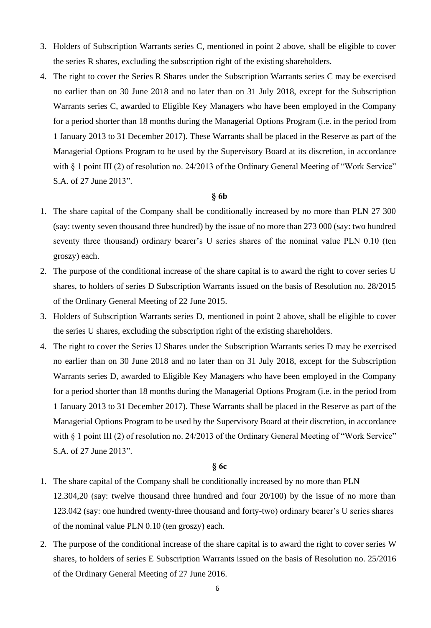- 3. Holders of Subscription Warrants series C, mentioned in point 2 above, shall be eligible to cover the series R shares, excluding the subscription right of the existing shareholders.
- 4. The right to cover the Series R Shares under the Subscription Warrants series C may be exercised no earlier than on 30 June 2018 and no later than on 31 July 2018, except for the Subscription Warrants series C, awarded to Eligible Key Managers who have been employed in the Company for a period shorter than 18 months during the Managerial Options Program (i.e. in the period from 1 January 2013 to 31 December 2017). These Warrants shall be placed in the Reserve as part of the Managerial Options Program to be used by the Supervisory Board at its discretion, in accordance with § 1 point III (2) of resolution no. 24/2013 of the Ordinary General Meeting of "Work Service" S.A. of 27 June 2013".

#### **§ 6b**

- 1. The share capital of the Company shall be conditionally increased by no more than PLN 27 300 (say: twenty seven thousand three hundred) by the issue of no more than 273 000 (say: two hundred seventy three thousand) ordinary bearer's U series shares of the nominal value PLN 0.10 (ten groszy) each.
- 2. The purpose of the conditional increase of the share capital is to award the right to cover series U shares, to holders of series D Subscription Warrants issued on the basis of Resolution no. 28/2015 of the Ordinary General Meeting of 22 June 2015.
- 3. Holders of Subscription Warrants series D, mentioned in point 2 above, shall be eligible to cover the series U shares, excluding the subscription right of the existing shareholders.
- 4. The right to cover the Series U Shares under the Subscription Warrants series D may be exercised no earlier than on 30 June 2018 and no later than on 31 July 2018, except for the Subscription Warrants series D, awarded to Eligible Key Managers who have been employed in the Company for a period shorter than 18 months during the Managerial Options Program (i.e. in the period from 1 January 2013 to 31 December 2017). These Warrants shall be placed in the Reserve as part of the Managerial Options Program to be used by the Supervisory Board at their discretion, in accordance with § 1 point III (2) of resolution no. 24/2013 of the Ordinary General Meeting of "Work Service" S.A. of 27 June 2013".

## **§ 6c**

- 1. The share capital of the Company shall be conditionally increased by no more than PLN 12.304,20 (say: twelve thousand three hundred and four 20/100) by the issue of no more than 123.042 (say: one hundred twenty-three thousand and forty-two) ordinary bearer's U series shares of the nominal value PLN 0.10 (ten groszy) each.
- 2. The purpose of the conditional increase of the share capital is to award the right to cover series W shares, to holders of series E Subscription Warrants issued on the basis of Resolution no. 25/2016 of the Ordinary General Meeting of 27 June 2016.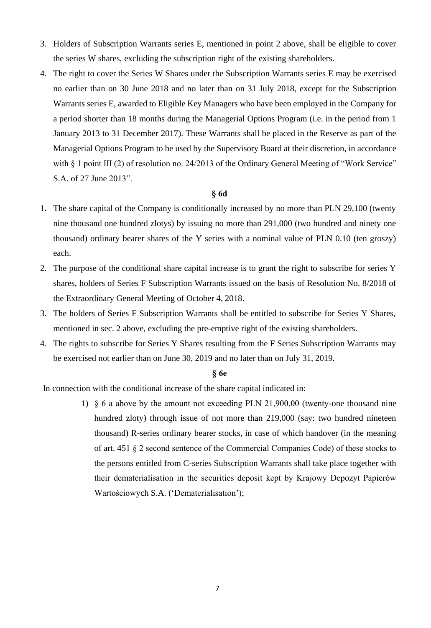- 3. Holders of Subscription Warrants series E, mentioned in point 2 above, shall be eligible to cover the series W shares, excluding the subscription right of the existing shareholders.
- 4. The right to cover the Series W Shares under the Subscription Warrants series E may be exercised no earlier than on 30 June 2018 and no later than on 31 July 2018, except for the Subscription Warrants series E, awarded to Eligible Key Managers who have been employed in the Company for a period shorter than 18 months during the Managerial Options Program (i.e. in the period from 1 January 2013 to 31 December 2017). These Warrants shall be placed in the Reserve as part of the Managerial Options Program to be used by the Supervisory Board at their discretion, in accordance with § 1 point III (2) of resolution no. 24/2013 of the Ordinary General Meeting of "Work Service" S.A. of 27 June 2013".

# **§ 6d**

- 1. The share capital of the Company is conditionally increased by no more than PLN 29,100 (twenty nine thousand one hundred zlotys) by issuing no more than 291,000 (two hundred and ninety one thousand) ordinary bearer shares of the Y series with a nominal value of PLN 0.10 (ten groszy) each.
- 2. The purpose of the conditional share capital increase is to grant the right to subscribe for series Y shares, holders of Series F Subscription Warrants issued on the basis of Resolution No. 8/2018 of the Extraordinary General Meeting of October 4, 2018.
- 3. The holders of Series F Subscription Warrants shall be entitled to subscribe for Series Y Shares, mentioned in sec. 2 above, excluding the pre-emptive right of the existing shareholders.
- 4. The rights to subscribe for Series Y Shares resulting from the F Series Subscription Warrants may be exercised not earlier than on June 30, 2019 and no later than on July 31, 2019.

#### **§ 6e**

In connection with the conditional increase of the share capital indicated in:

1) § 6 a above by the amount not exceeding PLN 21,900.00 (twenty-one thousand nine hundred zloty) through issue of not more than 219,000 (say: two hundred nineteen thousand) R-series ordinary bearer stocks, in case of which handover (in the meaning of art. 451 § 2 second sentence of the Commercial Companies Code) of these stocks to the persons entitled from C-series Subscription Warrants shall take place together with their dematerialisation in the securities deposit kept by Krajowy Depozyt Papierów Wartościowych S.A. ('Dematerialisation');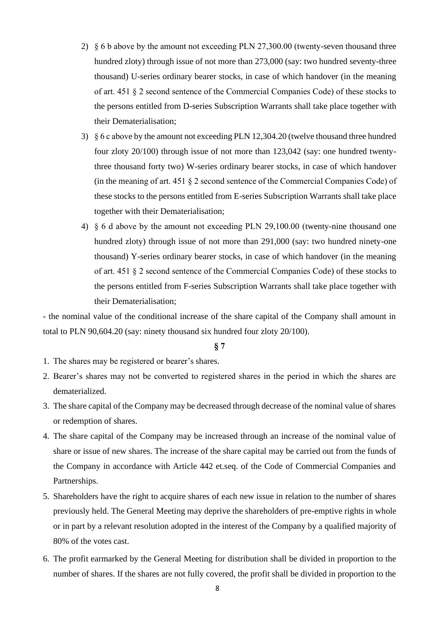- 2) § 6 b above by the amount not exceeding PLN 27,300.00 (twenty-seven thousand three hundred zloty) through issue of not more than 273,000 (say: two hundred seventy-three thousand) U-series ordinary bearer stocks, in case of which handover (in the meaning of art. 451 § 2 second sentence of the Commercial Companies Code) of these stocks to the persons entitled from D-series Subscription Warrants shall take place together with their Dematerialisation;
- 3) § 6 c above by the amount not exceeding PLN 12,304.20 (twelve thousand three hundred four zloty 20/100) through issue of not more than 123,042 (say: one hundred twentythree thousand forty two) W-series ordinary bearer stocks, in case of which handover (in the meaning of art. 451 § 2 second sentence of the Commercial Companies Code) of these stocks to the persons entitled from E-series Subscription Warrants shall take place together with their Dematerialisation;
- 4) § 6 d above by the amount not exceeding PLN 29,100.00 (twenty-nine thousand one hundred zloty) through issue of not more than 291,000 (say: two hundred ninety-one thousand) Y-series ordinary bearer stocks, in case of which handover (in the meaning of art. 451 § 2 second sentence of the Commercial Companies Code) of these stocks to the persons entitled from F-series Subscription Warrants shall take place together with their Dematerialisation;

- the nominal value of the conditional increase of the share capital of the Company shall amount in total to PLN 90,604.20 (say: ninety thousand six hundred four zloty 20/100).

- 1. The shares may be registered or bearer's shares.
- 2. Bearer's shares may not be converted to registered shares in the period in which the shares are dematerialized.
- 3. The share capital of the Company may be decreased through decrease of the nominal value of shares or redemption of shares.
- 4. The share capital of the Company may be increased through an increase of the nominal value of share or issue of new shares. The increase of the share capital may be carried out from the funds of the Company in accordance with Article 442 et.seq. of the Code of Commercial Companies and Partnerships.
- 5. Shareholders have the right to acquire shares of each new issue in relation to the number of shares previously held. The General Meeting may deprive the shareholders of pre-emptive rights in whole or in part by a relevant resolution adopted in the interest of the Company by a qualified majority of 80% of the votes cast.
- 6. The profit earmarked by the General Meeting for distribution shall be divided in proportion to the number of shares. If the shares are not fully covered, the profit shall be divided in proportion to the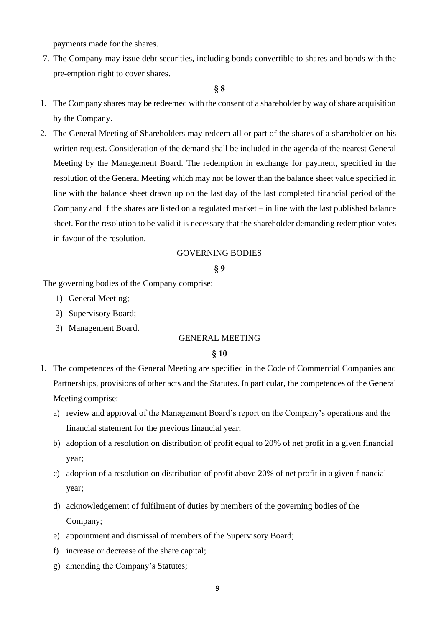payments made for the shares.

7. The Company may issue debt securities, including bonds convertible to shares and bonds with the pre-emption right to cover shares.

### **§ 8**

- 1. The Company shares may be redeemed with the consent of a shareholder by way of share acquisition by the Company.
- 2. The General Meeting of Shareholders may redeem all or part of the shares of a shareholder on his written request. Consideration of the demand shall be included in the agenda of the nearest General Meeting by the Management Board. The redemption in exchange for payment, specified in the resolution of the General Meeting which may not be lower than the balance sheet value specified in line with the balance sheet drawn up on the last day of the last completed financial period of the Company and if the shares are listed on a regulated market – in line with the last published balance sheet. For the resolution to be valid it is necessary that the shareholder demanding redemption votes in favour of the resolution.

### GOVERNING BODIES

#### **§ 9**

The governing bodies of the Company comprise:

- 1) General Meeting;
- 2) Supervisory Board;
- 3) Management Board.

### GENERAL MEETING

- 1. The competences of the General Meeting are specified in the Code of Commercial Companies and Partnerships, provisions of other acts and the Statutes. In particular, the competences of the General Meeting comprise:
	- a) review and approval of the Management Board's report on the Company's operations and the financial statement for the previous financial year;
	- b) adoption of a resolution on distribution of profit equal to 20% of net profit in a given financial year;
	- c) adoption of a resolution on distribution of profit above 20% of net profit in a given financial year;
	- d) acknowledgement of fulfilment of duties by members of the governing bodies of the Company;
	- e) appointment and dismissal of members of the Supervisory Board;
	- f) increase or decrease of the share capital;
	- g) amending the Company's Statutes;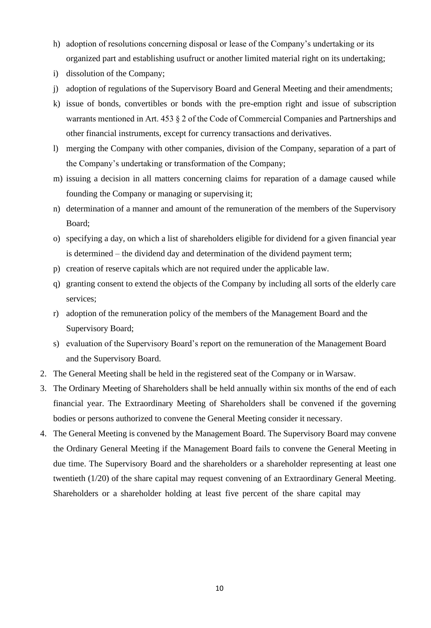- h) adoption of resolutions concerning disposal or lease of the Company's undertaking or its organized part and establishing usufruct or another limited material right on its undertaking;
- i) dissolution of the Company;
- j) adoption of regulations of the Supervisory Board and General Meeting and their amendments;
- k) issue of bonds, convertibles or bonds with the pre-emption right and issue of subscription warrants mentioned in Art. 453 § 2 of the Code of Commercial Companies and Partnerships and other financial instruments, except for currency transactions and derivatives.
- l) merging the Company with other companies, division of the Company, separation of a part of the Company's undertaking or transformation of the Company;
- m) issuing a decision in all matters concerning claims for reparation of a damage caused while founding the Company or managing or supervising it;
- n) determination of a manner and amount of the remuneration of the members of the Supervisory Board;
- o) specifying a day, on which a list of shareholders eligible for dividend for a given financial year is determined – the dividend day and determination of the dividend payment term;
- p) creation of reserve capitals which are not required under the applicable law.
- q) granting consent to extend the objects of the Company by including all sorts of the elderly care services;
- r) adoption of the remuneration policy of the members of the Management Board and the Supervisory Board;
- s) evaluation of the Supervisory Board's report on the remuneration of the Management Board and the Supervisory Board.
- 2. The General Meeting shall be held in the registered seat of the Company or in Warsaw.
- 3. The Ordinary Meeting of Shareholders shall be held annually within six months of the end of each financial year. The Extraordinary Meeting of Shareholders shall be convened if the governing bodies or persons authorized to convene the General Meeting consider it necessary.
- 4. The General Meeting is convened by the Management Board. The Supervisory Board may convene the Ordinary General Meeting if the Management Board fails to convene the General Meeting in due time. The Supervisory Board and the shareholders or a shareholder representing at least one twentieth (1/20) of the share capital may request convening of an Extraordinary General Meeting. Shareholders or a shareholder holding at least five percent of the share capital may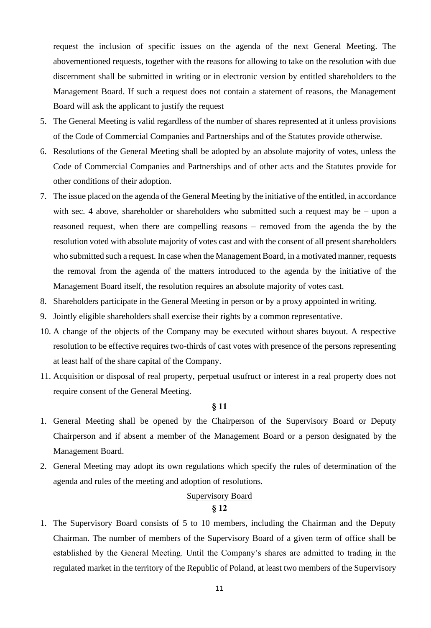request the inclusion of specific issues on the agenda of the next General Meeting. The abovementioned requests, together with the reasons for allowing to take on the resolution with due discernment shall be submitted in writing or in electronic version by entitled shareholders to the Management Board. If such a request does not contain a statement of reasons, the Management Board will ask the applicant to justify the request

- 5. The General Meeting is valid regardless of the number of shares represented at it unless provisions of the Code of Commercial Companies and Partnerships and of the Statutes provide otherwise.
- 6. Resolutions of the General Meeting shall be adopted by an absolute majority of votes, unless the Code of Commercial Companies and Partnerships and of other acts and the Statutes provide for other conditions of their adoption.
- 7. The issue placed on the agenda of the General Meeting by the initiative of the entitled, in accordance with sec. 4 above, shareholder or shareholders who submitted such a request may be – upon a reasoned request, when there are compelling reasons – removed from the agenda the by the resolution voted with absolute majority of votes cast and with the consent of all present shareholders who submitted such a request. In case when the Management Board, in a motivated manner, requests the removal from the agenda of the matters introduced to the agenda by the initiative of the Management Board itself, the resolution requires an absolute majority of votes cast.
- 8. Shareholders participate in the General Meeting in person or by a proxy appointed in writing.
- 9. Jointly eligible shareholders shall exercise their rights by a common representative.
- 10. A change of the objects of the Company may be executed without shares buyout. A respective resolution to be effective requires two-thirds of cast votes with presence of the persons representing at least half of the share capital of the Company.
- 11. Acquisition or disposal of real property, perpetual usufruct or interest in a real property does not require consent of the General Meeting.

### **§ 11**

- 1. General Meeting shall be opened by the Chairperson of the Supervisory Board or Deputy Chairperson and if absent a member of the Management Board or a person designated by the Management Board.
- 2. General Meeting may adopt its own regulations which specify the rules of determination of the agenda and rules of the meeting and adoption of resolutions.

# **Supervisory Board**

# **§ 12**

1. The Supervisory Board consists of 5 to 10 members, including the Chairman and the Deputy Chairman. The number of members of the Supervisory Board of a given term of office shall be established by the General Meeting. Until the Company's shares are admitted to trading in the regulated market in the territory of the Republic of Poland, at least two members of the Supervisory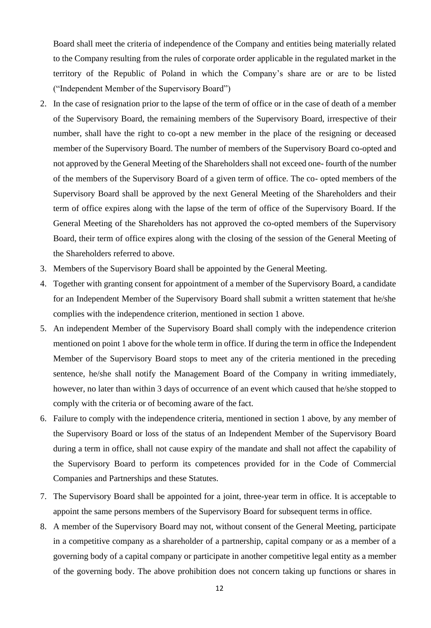Board shall meet the criteria of independence of the Company and entities being materially related to the Company resulting from the rules of corporate order applicable in the regulated market in the territory of the Republic of Poland in which the Company's share are or are to be listed ("Independent Member of the Supervisory Board")

- 2. In the case of resignation prior to the lapse of the term of office or in the case of death of a member of the Supervisory Board, the remaining members of the Supervisory Board, irrespective of their number, shall have the right to co-opt a new member in the place of the resigning or deceased member of the Supervisory Board. The number of members of the Supervisory Board co-opted and not approved by the General Meeting of the Shareholders shall not exceed one- fourth of the number of the members of the Supervisory Board of a given term of office. The co- opted members of the Supervisory Board shall be approved by the next General Meeting of the Shareholders and their term of office expires along with the lapse of the term of office of the Supervisory Board. If the General Meeting of the Shareholders has not approved the co-opted members of the Supervisory Board, their term of office expires along with the closing of the session of the General Meeting of the Shareholders referred to above.
- 3. Members of the Supervisory Board shall be appointed by the General Meeting.
- 4. Together with granting consent for appointment of a member of the Supervisory Board, a candidate for an Independent Member of the Supervisory Board shall submit a written statement that he/she complies with the independence criterion, mentioned in section 1 above.
- 5. An independent Member of the Supervisory Board shall comply with the independence criterion mentioned on point 1 above for the whole term in office. If during the term in office the Independent Member of the Supervisory Board stops to meet any of the criteria mentioned in the preceding sentence, he/she shall notify the Management Board of the Company in writing immediately, however, no later than within 3 days of occurrence of an event which caused that he/she stopped to comply with the criteria or of becoming aware of the fact.
- 6. Failure to comply with the independence criteria, mentioned in section 1 above, by any member of the Supervisory Board or loss of the status of an Independent Member of the Supervisory Board during a term in office, shall not cause expiry of the mandate and shall not affect the capability of the Supervisory Board to perform its competences provided for in the Code of Commercial Companies and Partnerships and these Statutes.
- 7. The Supervisory Board shall be appointed for a joint, three-year term in office. It is acceptable to appoint the same persons members of the Supervisory Board for subsequent terms in office.
- 8. A member of the Supervisory Board may not, without consent of the General Meeting, participate in a competitive company as a shareholder of a partnership, capital company or as a member of a governing body of a capital company or participate in another competitive legal entity as a member of the governing body. The above prohibition does not concern taking up functions or shares in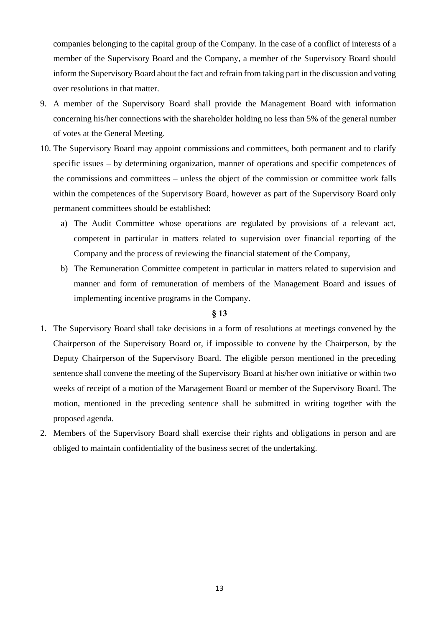companies belonging to the capital group of the Company. In the case of a conflict of interests of a member of the Supervisory Board and the Company, a member of the Supervisory Board should inform the Supervisory Board about the fact and refrain from taking part in the discussion and voting over resolutions in that matter.

- 9. A member of the Supervisory Board shall provide the Management Board with information concerning his/her connections with the shareholder holding no less than 5% of the general number of votes at the General Meeting.
- 10. The Supervisory Board may appoint commissions and committees, both permanent and to clarify specific issues – by determining organization, manner of operations and specific competences of the commissions and committees – unless the object of the commission or committee work falls within the competences of the Supervisory Board, however as part of the Supervisory Board only permanent committees should be established:
	- a) The Audit Committee whose operations are regulated by provisions of a relevant act, competent in particular in matters related to supervision over financial reporting of the Company and the process of reviewing the financial statement of the Company,
	- b) The Remuneration Committee competent in particular in matters related to supervision and manner and form of remuneration of members of the Management Board and issues of implementing incentive programs in the Company.

- 1. The Supervisory Board shall take decisions in a form of resolutions at meetings convened by the Chairperson of the Supervisory Board or, if impossible to convene by the Chairperson, by the Deputy Chairperson of the Supervisory Board. The eligible person mentioned in the preceding sentence shall convene the meeting of the Supervisory Board at his/her own initiative or within two weeks of receipt of a motion of the Management Board or member of the Supervisory Board. The motion, mentioned in the preceding sentence shall be submitted in writing together with the proposed agenda.
- 2. Members of the Supervisory Board shall exercise their rights and obligations in person and are obliged to maintain confidentiality of the business secret of the undertaking.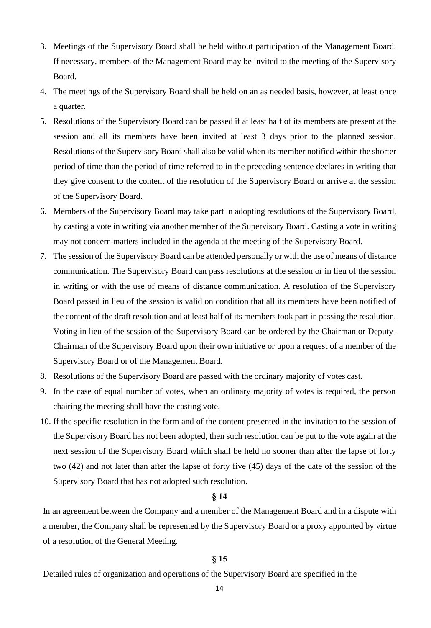- 3. Meetings of the Supervisory Board shall be held without participation of the Management Board. If necessary, members of the Management Board may be invited to the meeting of the Supervisory Board.
- 4. The meetings of the Supervisory Board shall be held on an as needed basis, however, at least once a quarter.
- 5. Resolutions of the Supervisory Board can be passed if at least half of its members are present at the session and all its members have been invited at least 3 days prior to the planned session. Resolutions of the Supervisory Board shall also be valid when its member notified within the shorter period of time than the period of time referred to in the preceding sentence declares in writing that they give consent to the content of the resolution of the Supervisory Board or arrive at the session of the Supervisory Board.
- 6. Members of the Supervisory Board may take part in adopting resolutions of the Supervisory Board, by casting a vote in writing via another member of the Supervisory Board. Casting a vote in writing may not concern matters included in the agenda at the meeting of the Supervisory Board.
- 7. The session of the Supervisory Board can be attended personally or with the use of means of distance communication. The Supervisory Board can pass resolutions at the session or in lieu of the session in writing or with the use of means of distance communication. A resolution of the Supervisory Board passed in lieu of the session is valid on condition that all its members have been notified of the content of the draft resolution and at least half of its members took part in passing the resolution. Voting in lieu of the session of the Supervisory Board can be ordered by the Chairman or Deputy-Chairman of the Supervisory Board upon their own initiative or upon a request of a member of the Supervisory Board or of the Management Board.
- 8. Resolutions of the Supervisory Board are passed with the ordinary majority of votes cast.
- 9. In the case of equal number of votes, when an ordinary majority of votes is required, the person chairing the meeting shall have the casting vote.
- 10. If the specific resolution in the form and of the content presented in the invitation to the session of the Supervisory Board has not been adopted, then such resolution can be put to the vote again at the next session of the Supervisory Board which shall be held no sooner than after the lapse of forty two (42) and not later than after the lapse of forty five (45) days of the date of the session of the Supervisory Board that has not adopted such resolution.

### **§ 14**

In an agreement between the Company and a member of the Management Board and in a dispute with a member, the Company shall be represented by the Supervisory Board or a proxy appointed by virtue of a resolution of the General Meeting.

### **§ 15**

Detailed rules of organization and operations of the Supervisory Board are specified in the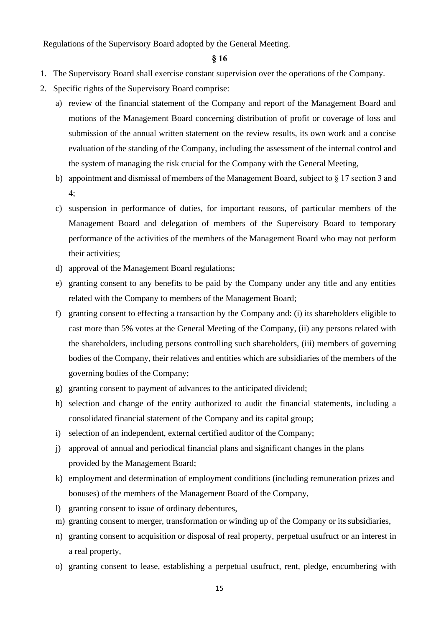Regulations of the Supervisory Board adopted by the General Meeting.

- 1. The Supervisory Board shall exercise constant supervision over the operations of the Company.
- 2. Specific rights of the Supervisory Board comprise:
	- a) review of the financial statement of the Company and report of the Management Board and motions of the Management Board concerning distribution of profit or coverage of loss and submission of the annual written statement on the review results, its own work and a concise evaluation of the standing of the Company, including the assessment of the internal control and the system of managing the risk crucial for the Company with the General Meeting,
	- b) appointment and dismissal of members of the Management Board, subject to § 17 section 3 and 4;
	- c) suspension in performance of duties, for important reasons, of particular members of the Management Board and delegation of members of the Supervisory Board to temporary performance of the activities of the members of the Management Board who may not perform their activities;
	- d) approval of the Management Board regulations;
	- e) granting consent to any benefits to be paid by the Company under any title and any entities related with the Company to members of the Management Board;
	- f) granting consent to effecting a transaction by the Company and: (i) its shareholders eligible to cast more than 5% votes at the General Meeting of the Company, (ii) any persons related with the shareholders, including persons controlling such shareholders, (iii) members of governing bodies of the Company, their relatives and entities which are subsidiaries of the members of the governing bodies of the Company;
	- g) granting consent to payment of advances to the anticipated dividend;
	- h) selection and change of the entity authorized to audit the financial statements, including a consolidated financial statement of the Company and its capital group;
	- i) selection of an independent, external certified auditor of the Company;
	- j) approval of annual and periodical financial plans and significant changes in the plans provided by the Management Board;
	- k) employment and determination of employment conditions (including remuneration prizes and bonuses) of the members of the Management Board of the Company,
	- l) granting consent to issue of ordinary debentures,
	- m) granting consent to merger, transformation or winding up of the Company or its subsidiaries,
	- n) granting consent to acquisition or disposal of real property, perpetual usufruct or an interest in a real property,
	- o) granting consent to lease, establishing a perpetual usufruct, rent, pledge, encumbering with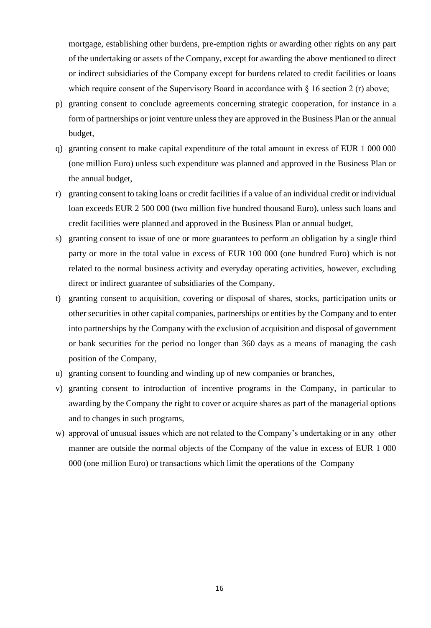mortgage, establishing other burdens, pre-emption rights or awarding other rights on any part of the undertaking or assets of the Company, except for awarding the above mentioned to direct or indirect subsidiaries of the Company except for burdens related to credit facilities or loans which require consent of the Supervisory Board in accordance with  $\S$  16 section 2 (r) above;

- p) granting consent to conclude agreements concerning strategic cooperation, for instance in a form of partnerships or joint venture unless they are approved in the Business Plan or the annual budget,
- q) granting consent to make capital expenditure of the total amount in excess of EUR 1 000 000 (one million Euro) unless such expenditure was planned and approved in the Business Plan or the annual budget,
- r) granting consent to taking loans or credit facilities if a value of an individual credit or individual loan exceeds EUR 2 500 000 (two million five hundred thousand Euro), unless such loans and credit facilities were planned and approved in the Business Plan or annual budget,
- s) granting consent to issue of one or more guarantees to perform an obligation by a single third party or more in the total value in excess of EUR 100 000 (one hundred Euro) which is not related to the normal business activity and everyday operating activities, however, excluding direct or indirect guarantee of subsidiaries of the Company,
- t) granting consent to acquisition, covering or disposal of shares, stocks, participation units or other securities in other capital companies, partnerships or entities by the Company and to enter into partnerships by the Company with the exclusion of acquisition and disposal of government or bank securities for the period no longer than 360 days as a means of managing the cash position of the Company,
- u) granting consent to founding and winding up of new companies or branches,
- v) granting consent to introduction of incentive programs in the Company, in particular to awarding by the Company the right to cover or acquire shares as part of the managerial options and to changes in such programs,
- w) approval of unusual issues which are not related to the Company's undertaking or in any other manner are outside the normal objects of the Company of the value in excess of EUR 1 000 000 (one million Euro) or transactions which limit the operations of the Company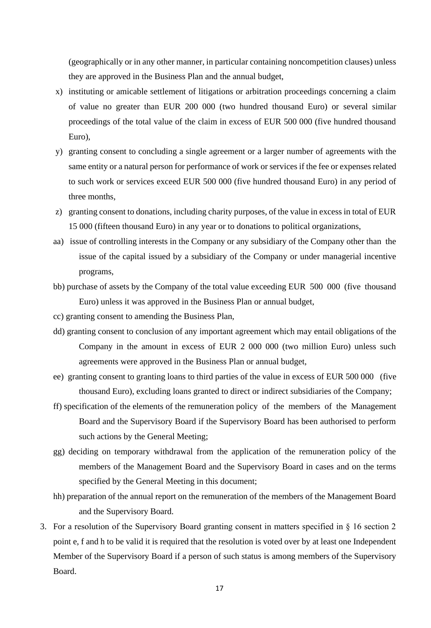(geographically or in any other manner, in particular containing noncompetition clauses) unless they are approved in the Business Plan and the annual budget,

- x) instituting or amicable settlement of litigations or arbitration proceedings concerning a claim of value no greater than EUR 200 000 (two hundred thousand Euro) or several similar proceedings of the total value of the claim in excess of EUR 500 000 (five hundred thousand Euro),
- y) granting consent to concluding a single agreement or a larger number of agreements with the same entity or a natural person for performance of work or services if the fee or expenses related to such work or services exceed EUR 500 000 (five hundred thousand Euro) in any period of three months,
- z) granting consent to donations, including charity purposes, of the value in excess in total of EUR 15 000 (fifteen thousand Euro) in any year or to donations to political organizations,
- aa) issue of controlling interests in the Company or any subsidiary of the Company other than the issue of the capital issued by a subsidiary of the Company or under managerial incentive programs,
- bb) purchase of assets by the Company of the total value exceeding EUR 500 000 (five thousand Euro) unless it was approved in the Business Plan or annual budget,
- cc) granting consent to amending the Business Plan,
- dd) granting consent to conclusion of any important agreement which may entail obligations of the Company in the amount in excess of EUR 2 000 000 (two million Euro) unless such agreements were approved in the Business Plan or annual budget,
- ee) granting consent to granting loans to third parties of the value in excess of EUR 500 000 (five thousand Euro), excluding loans granted to direct or indirect subsidiaries of the Company;
- ff) specification of the elements of the remuneration policy of the members of the Management Board and the Supervisory Board if the Supervisory Board has been authorised to perform such actions by the General Meeting;
- gg) deciding on temporary withdrawal from the application of the remuneration policy of the members of the Management Board and the Supervisory Board in cases and on the terms specified by the General Meeting in this document;
- hh) preparation of the annual report on the remuneration of the members of the Management Board and the Supervisory Board.
- 3. For a resolution of the Supervisory Board granting consent in matters specified in § 16 section 2 point e, f and h to be valid it is required that the resolution is voted over by at least one Independent Member of the Supervisory Board if a person of such status is among members of the Supervisory Board.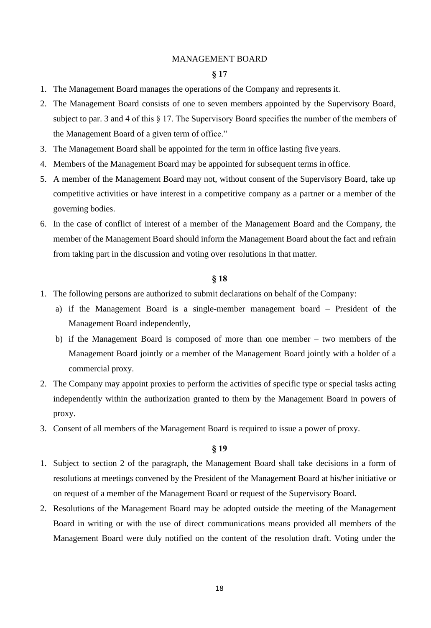### MANAGEMENT BOARD

### **§ 17**

- 1. The Management Board manages the operations of the Company and represents it.
- 2. The Management Board consists of one to seven members appointed by the Supervisory Board, subject to par. 3 and 4 of this § 17. The Supervisory Board specifies the number of the members of the Management Board of a given term of office."
- 3. The Management Board shall be appointed for the term in office lasting five years.
- 4. Members of the Management Board may be appointed for subsequent terms in office.
- 5. A member of the Management Board may not, without consent of the Supervisory Board, take up competitive activities or have interest in a competitive company as a partner or a member of the governing bodies.
- 6. In the case of conflict of interest of a member of the Management Board and the Company, the member of the Management Board should inform the Management Board about the fact and refrain from taking part in the discussion and voting over resolutions in that matter.

### **§ 18**

- 1. The following persons are authorized to submit declarations on behalf of the Company:
	- a) if the Management Board is a single-member management board President of the Management Board independently,
	- b) if the Management Board is composed of more than one member two members of the Management Board jointly or a member of the Management Board jointly with a holder of a commercial proxy.
- 2. The Company may appoint proxies to perform the activities of specific type or special tasks acting independently within the authorization granted to them by the Management Board in powers of proxy.
- 3. Consent of all members of the Management Board is required to issue a power of proxy.

- 1. Subject to section 2 of the paragraph, the Management Board shall take decisions in a form of resolutions at meetings convened by the President of the Management Board at his/her initiative or on request of a member of the Management Board or request of the Supervisory Board.
- 2. Resolutions of the Management Board may be adopted outside the meeting of the Management Board in writing or with the use of direct communications means provided all members of the Management Board were duly notified on the content of the resolution draft. Voting under the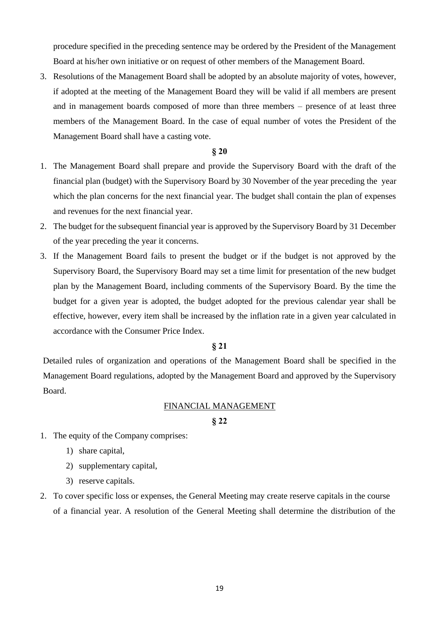procedure specified in the preceding sentence may be ordered by the President of the Management Board at his/her own initiative or on request of other members of the Management Board.

3. Resolutions of the Management Board shall be adopted by an absolute majority of votes, however, if adopted at the meeting of the Management Board they will be valid if all members are present and in management boards composed of more than three members – presence of at least three members of the Management Board. In the case of equal number of votes the President of the Management Board shall have a casting vote.

# **§ 20**

- 1. The Management Board shall prepare and provide the Supervisory Board with the draft of the financial plan (budget) with the Supervisory Board by 30 November of the year preceding the year which the plan concerns for the next financial year. The budget shall contain the plan of expenses and revenues for the next financial year.
- 2. The budget for the subsequent financial year is approved by the Supervisory Board by 31 December of the year preceding the year it concerns.
- 3. If the Management Board fails to present the budget or if the budget is not approved by the Supervisory Board, the Supervisory Board may set a time limit for presentation of the new budget plan by the Management Board, including comments of the Supervisory Board. By the time the budget for a given year is adopted, the budget adopted for the previous calendar year shall be effective, however, every item shall be increased by the inflation rate in a given year calculated in accordance with the Consumer Price Index.

### **§ 21**

Detailed rules of organization and operations of the Management Board shall be specified in the Management Board regulations, adopted by the Management Board and approved by the Supervisory Board.

#### FINANCIAL MANAGEMENT

- 1. The equity of the Company comprises:
	- 1) share capital,
	- 2) supplementary capital,
	- 3) reserve capitals.
- 2. To cover specific loss or expenses, the General Meeting may create reserve capitals in the course of a financial year. A resolution of the General Meeting shall determine the distribution of the